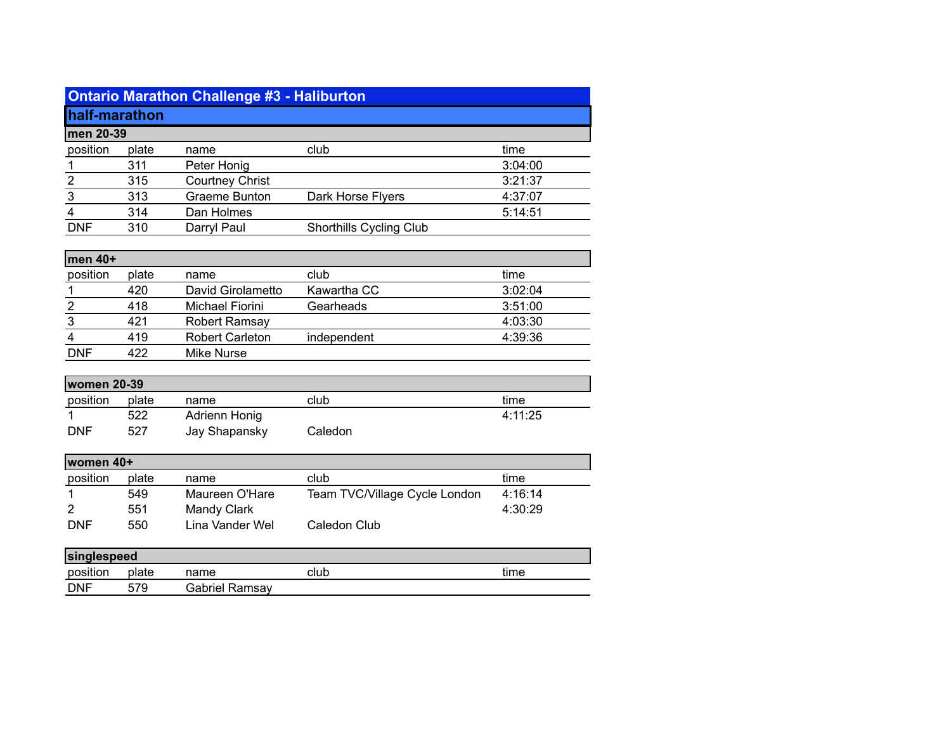|                    |       | <b>Ontario Marathon Challenge #3 - Haliburton</b> |                         |         |
|--------------------|-------|---------------------------------------------------|-------------------------|---------|
|                    |       |                                                   |                         |         |
| half-marathon      |       |                                                   |                         |         |
| men 20-39          |       |                                                   |                         |         |
| position           | plate | name                                              | club                    | time    |
|                    | 311   | Peter Honig                                       |                         | 3:04:00 |
| $\overline{2}$     | 315   | <b>Courtney Christ</b>                            |                         | 3:21:37 |
| 3                  | 313   | Graeme Bunton                                     | Dark Horse Flyers       | 4:37:07 |
| 4                  | 314   | Dan Holmes                                        |                         | 5:14:51 |
| <b>DNF</b>         | 310   | Darryl Paul                                       | Shorthills Cycling Club |         |
|                    |       |                                                   |                         |         |
| men 40+            |       |                                                   |                         |         |
| position           | plate | name                                              | club                    | time    |
|                    | 420   | David Girolametto                                 | Kawartha CC             | 3:02:04 |
| $\overline{2}$     | 418   | Michael Fiorini                                   | Gearheads               | 3:51:00 |
| $\mathsf 3$        | 421   | Robert Ramsay                                     |                         | 4:03:30 |
| 4                  | 419   | <b>Robert Carleton</b>                            | independent             | 4:39:36 |
| <b>DNF</b>         | 422   | <b>Mike Nurse</b>                                 |                         |         |
|                    |       |                                                   |                         |         |
| <b>women 20-39</b> |       |                                                   |                         |         |
| position           | plate | name                                              | club                    | time    |
|                    | 522   | <b>Adrienn Honig</b>                              |                         | 4:11:25 |

| <b>DNF</b> | 527         | Jay Shapansky              | Caledon                       |      |
|------------|-------------|----------------------------|-------------------------------|------|
| women 40+  |             |                            |                               |      |
| position   | plate       | name                       | club                          | time |
|            | <b>E</b> AO | $M$ ouroon $\bigcap U$ oro | Toom TVCA Gllogo Cyolo London | 1.1C |

| .          | ------ |                 |                               |         |
|------------|--------|-----------------|-------------------------------|---------|
|            | 549    | Maureen O'Hare  | Team TVC/Village Cycle London | 4:16:14 |
| -2         | 551    | Mandy Clark     |                               | 4:30:29 |
| <b>DNF</b> | 550    | Lina Vander Wel | Caledon Club                  |         |
|            |        |                 |                               |         |

| singlespeed |       |                |      |      |
|-------------|-------|----------------|------|------|
| position    | plate | name           | club | time |
| DNF         | 579   | Gabriel Ramsay |      |      |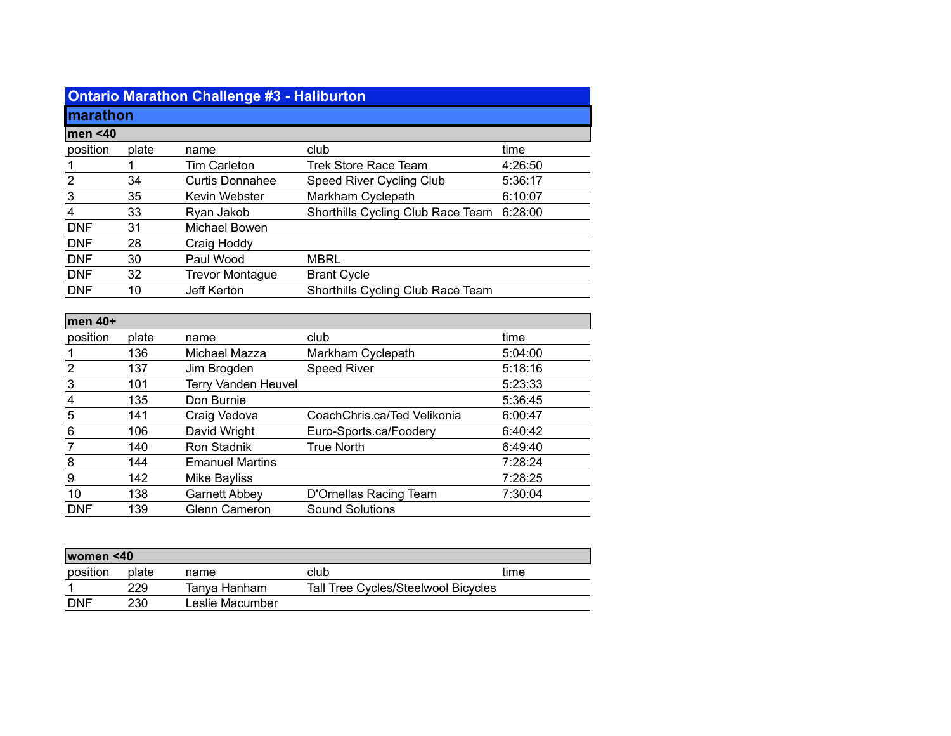|                         |       | <b>Ontario Marathon Challenge #3 - Haliburton</b> |                                   |         |
|-------------------------|-------|---------------------------------------------------|-----------------------------------|---------|
| marathon                |       |                                                   |                                   |         |
| men < 40                |       |                                                   |                                   |         |
| position                | plate | name                                              | club                              | time    |
| 1                       | 1     | <b>Tim Carleton</b>                               | <b>Trek Store Race Team</b>       | 4:26:50 |
| $\overline{\mathbf{c}}$ | 34    | <b>Curtis Donnahee</b>                            | Speed River Cycling Club          | 5:36:17 |
| 3                       | 35    | Kevin Webster                                     | Markham Cyclepath                 | 6:10:07 |
| $\overline{4}$          | 33    | Ryan Jakob                                        | Shorthills Cycling Club Race Team | 6:28:00 |
| <b>DNF</b>              | 31    | <b>Michael Bowen</b>                              |                                   |         |
| <b>DNF</b>              | 28    | Craig Hoddy                                       |                                   |         |
| <b>DNF</b>              | 30    | Paul Wood                                         | <b>MBRL</b>                       |         |
| <b>DNF</b>              | 32    | <b>Trevor Montague</b>                            | <b>Brant Cycle</b>                |         |
| <b>DNF</b>              | 10    | Jeff Kerton                                       | Shorthills Cycling Club Race Team |         |
|                         |       |                                                   |                                   |         |
| men 40+                 |       |                                                   |                                   |         |
| position                | plate | name                                              | club                              | time    |
| <u> 1</u>               | 136   | Michael Mazza                                     | Markham Cyclepath                 | 5:04:00 |
| $\overline{2}$          | 137   | Jim Brogden                                       | <b>Speed River</b>                | 5:18:16 |
| $\overline{3}$          | 101   | <b>Terry Vanden Heuvel</b>                        |                                   | 5:23:33 |
| 4                       | 135   | Don Burnie                                        |                                   | 5:36:45 |
| 5                       | 141   | Craig Vedova                                      | CoachChris.ca/Ted Velikonia       | 6:00:47 |
| 6                       | 106   | David Wright                                      | Euro-Sports.ca/Foodery            | 6:40:42 |
| 7                       | 140   | <b>Ron Stadnik</b>                                | <b>True North</b>                 | 6:49:40 |
| 8                       | 144   | <b>Emanuel Martins</b>                            |                                   | 7:28:24 |
| 9                       | 142   | <b>Mike Bayliss</b>                               |                                   | 7:28:25 |
| 10                      | 138   | <b>Garnett Abbey</b>                              | D'Ornellas Racing Team            | 7:30:04 |
| <b>DNF</b>              | 139   | <b>Glenn Cameron</b>                              | <b>Sound Solutions</b>            |         |

| women <40  |       |                 |                                     |      |  |
|------------|-------|-----------------|-------------------------------------|------|--|
| position   | plate | name            | club                                | time |  |
|            | 229   | Tanva Hanham    | Tall Tree Cycles/Steelwool Bicycles |      |  |
| <b>DNF</b> | 230   | Leslie Macumber |                                     |      |  |